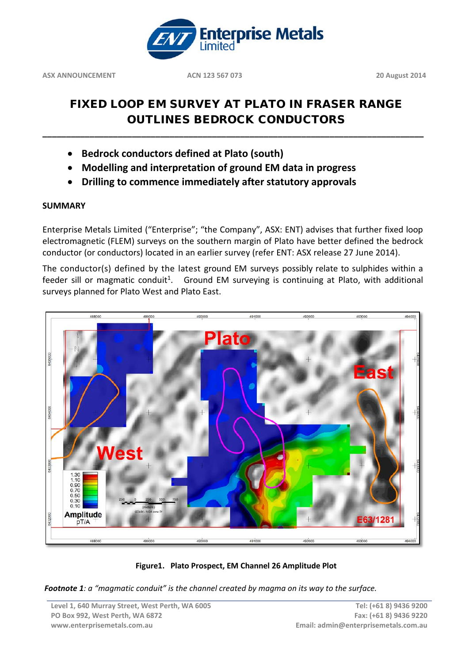

# FIXED LOOP EM SURVEY AT PLATO IN FRASER RANGE OUTLINES BEDROCK CONDUCTORS

**\_\_\_\_\_\_\_\_\_\_\_\_\_\_\_\_\_\_\_\_\_\_\_\_\_\_\_\_\_\_\_\_\_\_\_\_\_\_\_\_\_\_\_\_\_\_\_\_\_\_\_\_\_\_\_\_\_\_\_\_\_\_\_\_\_\_\_\_\_\_\_\_\_\_\_\_\_\_\_\_\_**

- **Bedrock conductors defined at Plato (south)**
- **Modelling and interpretation of ground EM data in progress**
- **Drilling to commence immediately after statutory approvals**

## **SUMMARY**

Enterprise Metals Limited ("Enterprise"; "the Company", ASX: ENT) advises that further fixed loop electromagnetic (FLEM) surveys on the southern margin of Plato have better defined the bedrock conductor (or conductors) located in an earlier survey (refer ENT: ASX release 27 June 2014).

The conductor(s) defined by the latest ground EM surveys possibly relate to sulphides within a feeder sill or magmatic conduit<sup>1</sup>. Ground EM surveying is continuing at Plato, with additional surveys planned for Plato West and Plato East.





*Footnote 1: a "magmatic conduit" is the channel created by magma on its way to the surface.*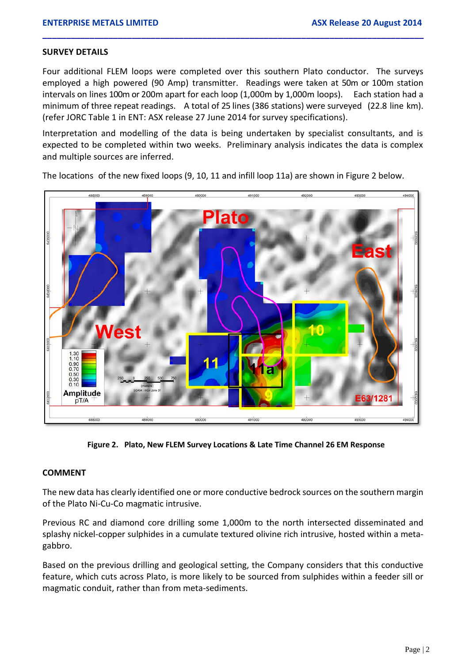#### **SURVEY DETAILS**

Four additional FLEM loops were completed over this southern Plato conductor. The surveys employed a high powered (90 Amp) transmitter. Readings were taken at 50m or 100m station intervals on lines 100m or 200m apart for each loop (1,000m by 1,000m loops). Each station had a minimum of three repeat readings. A total of 25 lines (386 stations) were surveyed (22.8 line km). (refer JORC Table 1 in ENT: ASX release 27 June 2014 for survey specifications).

**\_\_\_\_\_\_\_\_\_\_\_\_\_\_\_\_\_\_\_\_\_\_\_\_\_\_\_\_\_\_\_\_\_\_\_\_\_\_\_\_\_\_\_\_\_\_\_\_\_\_\_\_\_\_\_\_\_\_\_\_\_\_\_\_\_\_\_\_\_\_\_\_\_\_\_\_\_\_\_\_\_**

Interpretation and modelling of the data is being undertaken by specialist consultants, and is expected to be completed within two weeks. Preliminary analysis indicates the data is complex and multiple sources are inferred.



The locations of the new fixed loops (9, 10, 11 and infill loop 11a) are shown in Figure 2 below.

**Figure 2. Plato, New FLEM Survey Locations & Late Time Channel 26 EM Response**

### **COMMENT**

The new data has clearly identified one or more conductive bedrock sources on the southern margin of the Plato Ni-Cu-Co magmatic intrusive.

Previous RC and diamond core drilling some 1,000m to the north intersected disseminated and splashy nickel-copper sulphides in a cumulate textured olivine rich intrusive, hosted within a metagabbro.

Based on the previous drilling and geological setting, the Company considers that this conductive feature, which cuts across Plato, is more likely to be sourced from sulphides within a feeder sill or magmatic conduit, rather than from meta-sediments.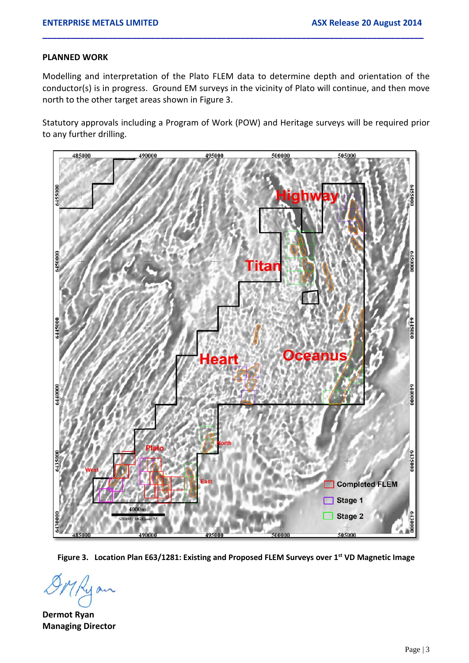### **PLANNED WORK**

Modelling and interpretation of the Plato FLEM data to determine depth and orientation of the conductor(s) is in progress. Ground EM surveys in the vicinity of Plato will continue, and then move north to the other target areas shown in Figure 3.

**\_\_\_\_\_\_\_\_\_\_\_\_\_\_\_\_\_\_\_\_\_\_\_\_\_\_\_\_\_\_\_\_\_\_\_\_\_\_\_\_\_\_\_\_\_\_\_\_\_\_\_\_\_\_\_\_\_\_\_\_\_\_\_\_\_\_\_\_\_\_\_\_\_\_\_\_\_\_\_\_\_**

Statutory approvals including a Program of Work (POW) and Heritage surveys will be required prior to any further drilling.



**Figure 3. Location Plan E63/1281: Existing and Proposed FLEM Surveys over 1st VD Magnetic Image**

**Dermot Ryan Managing Director**